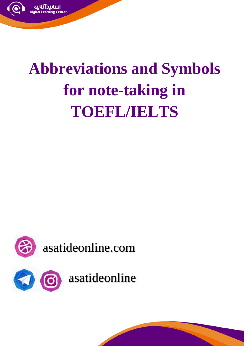

## **Abbreviations and Symbols for note-taking in TOEFL/IELTS**

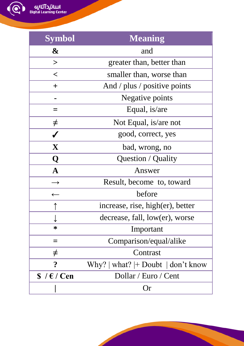اسانیدآنلایی<br>Digital Learning Center

| <b>Symbol</b>           | <b>Meaning</b>                                        |
|-------------------------|-------------------------------------------------------|
| &                       | and                                                   |
| $\geq$                  | greater than, better than                             |
| $\lt$                   | smaller than, worse than                              |
| $\mathrm{+}$            | And / plus / positive points                          |
|                         | Negative points                                       |
| =                       | Equal, is/are                                         |
| $\neq$                  | Not Equal, is/are not                                 |
|                         | good, correct, yes                                    |
| $\mathbf X$             | bad, wrong, no                                        |
| Q                       | Question / Quality                                    |
| $\mathbf A$             | Answer                                                |
|                         | Result, become to, toward                             |
| $\leftarrow$            | before                                                |
| ↑                       | increase, rise, high(er), better                      |
|                         | decrease, fall, low(er), worse                        |
| ∗                       | Important                                             |
|                         | Comparison/equal/alike                                |
| $\neq$                  | Contrast                                              |
| $\overline{\mathbf{r}}$ | Why? $ \text{ what?} $ + Doubt $ \text{ don't know} $ |
| $$ / \epsilon / Cen$    | Dollar / Euro / Cent                                  |
|                         | Or                                                    |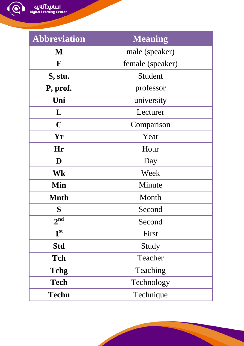الل**لاتيد آٽلابيه**<br>Digital Learning Center

| <b>Abbreviation</b> | <b>Meaning</b>   |
|---------------------|------------------|
| M                   | male (speaker)   |
| F                   | female (speaker) |
| S, stu.             | Student          |
| P, prof.            | professor        |
| Uni                 | university       |
| L                   | Lecturer         |
| $\mathbf C$         | Comparison       |
| Yr                  | Year             |
| Hr                  | Hour             |
| D                   | Day              |
| Wk                  | Week             |
| Min                 | Minute           |
| <b>Mnth</b>         | Month            |
| S                   | Second           |
| 2 <sup>nd</sup>     | Second           |
| 1 <sup>st</sup>     | First            |
| <b>Std</b>          | Study            |
| <b>Tch</b>          | Teacher          |
| <b>Tchg</b>         | Teaching         |
| <b>Tech</b>         | Technology       |
| <b>Techn</b>        | Technique        |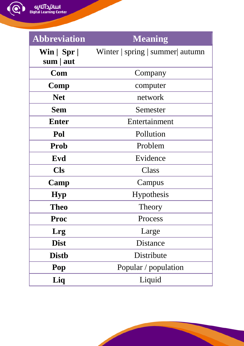اسانیدآنلایی<br>Digital Learning Center

| <b>Abbreviation</b>                                | <b>Meaning</b>                    |
|----------------------------------------------------|-----------------------------------|
| $\textbf{Win} \mid \textbf{Spr} \mid$<br>sum   aut | Winter   spring   summer   autumn |
| Com                                                | Company                           |
| Comp                                               | computer                          |
| <b>Net</b>                                         | network                           |
| <b>Sem</b>                                         | Semester                          |
| <b>Enter</b>                                       | Entertainment                     |
| Pol                                                | Pollution                         |
| Prob                                               | Problem                           |
| Evd                                                | Evidence                          |
| <b>Cls</b>                                         | <b>Class</b>                      |
| Camp                                               | Campus                            |
| <b>Hyp</b>                                         | Hypothesis                        |
| <b>Theo</b>                                        | Theory                            |
| Proc                                               | Process                           |
| Lrg                                                | Large                             |
| <b>Dist</b>                                        | Distance                          |
| <b>Distb</b>                                       | Distribute                        |
| Pop                                                | Popular / population              |
| Liq                                                | Liquid                            |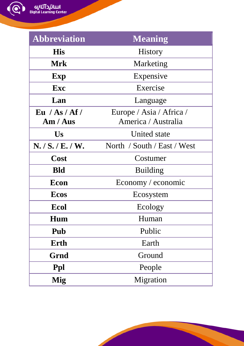الل**لاتيد آٽلابيه**<br>Digital Learning Center

| <b>Abbreviation</b> | Meaning                     |
|---------------------|-----------------------------|
| <b>His</b>          | History                     |
| <b>Mrk</b>          | Marketing                   |
| Exp                 | Expensive                   |
| Exc                 | Exercise                    |
| Lan                 | Language                    |
| Eu / As/Af/         | Europe / Asia / Africa /    |
| Am / Aus            | America / Australia         |
| Us                  | <b>United state</b>         |
| N. / S. / E. / W.   | North / South / East / West |
| Cost                | Costumer                    |
| <b>Bld</b>          | <b>Building</b>             |
| Econ                | Economy / economic          |
| <b>Ecos</b>         | Ecosystem                   |
| <b>Ecol</b>         | Ecology                     |
| Hum                 | Human                       |
| Pub                 | Public                      |
| Erth                | Earth                       |
| Grnd                | Ground                      |
| Ppl                 | People                      |
| Mig                 | Migration                   |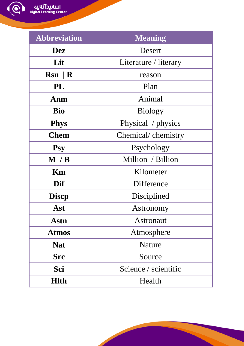الل**لاتيد آٽلابيه**<br>Digital Learning Center

 $\bigcirc$ 

| <b>Abbreviation</b> | <b>Meaning</b>        |
|---------------------|-----------------------|
| <b>Dez</b>          | Desert                |
| Lit                 | Literature / literary |
| $Rsn \mid R$        | reason                |
| PL                  | Plan                  |
| Anm                 | Animal                |
| <b>Bio</b>          | <b>Biology</b>        |
| <b>Phys</b>         | Physical / physics    |
| <b>Chem</b>         | Chemical/chemistry    |
| <b>Psy</b>          | Psychology            |
| M / B               | Million / Billion     |
| Km                  | Kilometer             |
| Dif                 | Difference            |
| <b>Discp</b>        | Disciplined           |
| Ast                 | Astronomy             |
| <b>Astn</b>         | <b>Astronaut</b>      |
| <b>Atmos</b>        | Atmosphere            |
| <b>Nat</b>          | Nature                |
| <b>Src</b>          | Source                |
| Sci                 | Science / scientific  |
| <b>Hlth</b>         | Health                |